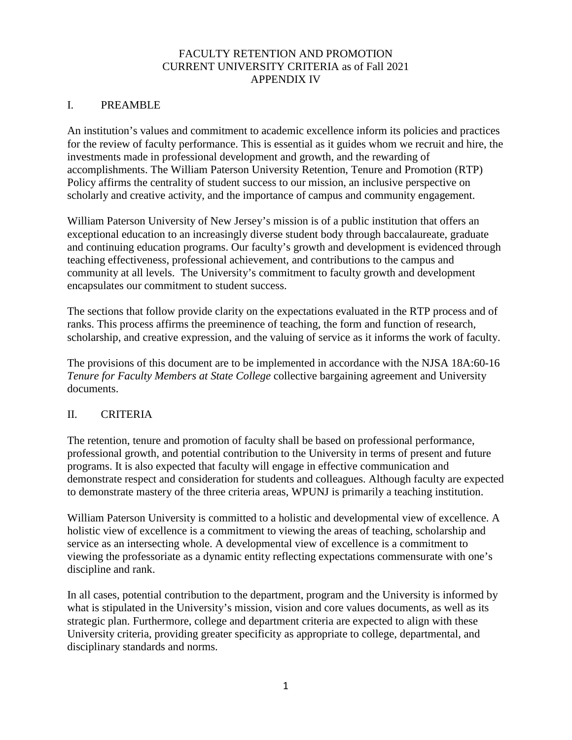### FACULTY RETENTION AND PROMOTION CURRENT UNIVERSITY CRITERIA as of Fall 2021 APPENDIX IV

### I. PREAMBLE

An institution's values and commitment to academic excellence inform its policies and practices for the review of faculty performance. This is essential as it guides whom we recruit and hire, the investments made in professional development and growth, and the rewarding of accomplishments. The William Paterson University Retention, Tenure and Promotion (RTP) Policy affirms the centrality of student success to our mission, an inclusive perspective on scholarly and creative activity, and the importance of campus and community engagement.

William Paterson University of New Jersey's mission is of a public institution that offers an exceptional education to an increasingly diverse student body through baccalaureate, graduate and continuing education programs. Our faculty's growth and development is evidenced through teaching effectiveness, professional achievement, and contributions to the campus and community at all levels. The University's commitment to faculty growth and development encapsulates our commitment to student success.

The sections that follow provide clarity on the expectations evaluated in the RTP process and of ranks. This process affirms the preeminence of teaching, the form and function of research, scholarship, and creative expression, and the valuing of service as it informs the work of faculty.

The provisions of this document are to be implemented in accordance with the NJSA 18A:60-16 *Tenure for Faculty Members at State College* collective bargaining agreement and University documents.

### II. CRITERIA

The retention, tenure and promotion of faculty shall be based on professional performance, professional growth, and potential contribution to the University in terms of present and future programs. It is also expected that faculty will engage in effective communication and demonstrate respect and consideration for students and colleagues. Although faculty are expected to demonstrate mastery of the three criteria areas, WPUNJ is primarily a teaching institution.

William Paterson University is committed to a holistic and developmental view of excellence. A holistic view of excellence is a commitment to viewing the areas of teaching, scholarship and service as an intersecting whole. A developmental view of excellence is a commitment to viewing the professoriate as a dynamic entity reflecting expectations commensurate with one's discipline and rank.

In all cases, potential contribution to the department, program and the University is informed by what is stipulated in the University's mission, vision and core values documents, as well as its strategic plan. Furthermore, college and department criteria are expected to align with these University criteria, providing greater specificity as appropriate to college, departmental, and disciplinary standards and norms.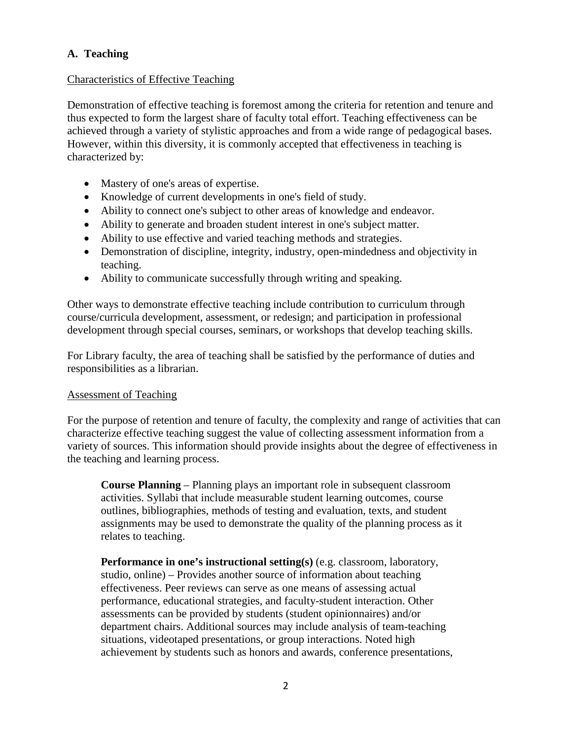# **A. Teaching**

### Characteristics of Effective Teaching

Demonstration of effective teaching is foremost among the criteria for retention and tenure and thus expected to form the largest share of faculty total effort. Teaching effectiveness can be achieved through a variety of stylistic approaches and from a wide range of pedagogical bases. However, within this diversity, it is commonly accepted that effectiveness in teaching is characterized by:

- Mastery of one's areas of expertise.
- Knowledge of current developments in one's field of study.
- Ability to connect one's subject to other areas of knowledge and endeavor.
- Ability to generate and broaden student interest in one's subject matter.
- Ability to use effective and varied teaching methods and strategies.
- Demonstration of discipline, integrity, industry, open-mindedness and objectivity in teaching.
- Ability to communicate successfully through writing and speaking.

Other ways to demonstrate effective teaching include contribution to curriculum through course/curricula development, assessment, or redesign; and participation in professional development through special courses, seminars, or workshops that develop teaching skills.

For Library faculty, the area of teaching shall be satisfied by the performance of duties and responsibilities as a librarian.

### Assessment of Teaching

For the purpose of retention and tenure of faculty, the complexity and range of activities that can characterize effective teaching suggest the value of collecting assessment information from a variety of sources. This information should provide insights about the degree of effectiveness in the teaching and learning process.

**Course Planning** – Planning plays an important role in subsequent classroom activities. Syllabi that include measurable student learning outcomes, course outlines, bibliographies, methods of testing and evaluation, texts, and student assignments may be used to demonstrate the quality of the planning process as it relates to teaching.

**Performance in one's instructional setting(s)** (e.g. classroom, laboratory, studio, online) – Provides another source of information about teaching effectiveness. Peer reviews can serve as one means of assessing actual performance, educational strategies, and faculty-student interaction. Other assessments can be provided by students (student opinionnaires) and/or department chairs. Additional sources may include analysis of team-teaching situations, videotaped presentations, or group interactions. Noted high achievement by students such as honors and awards, conference presentations,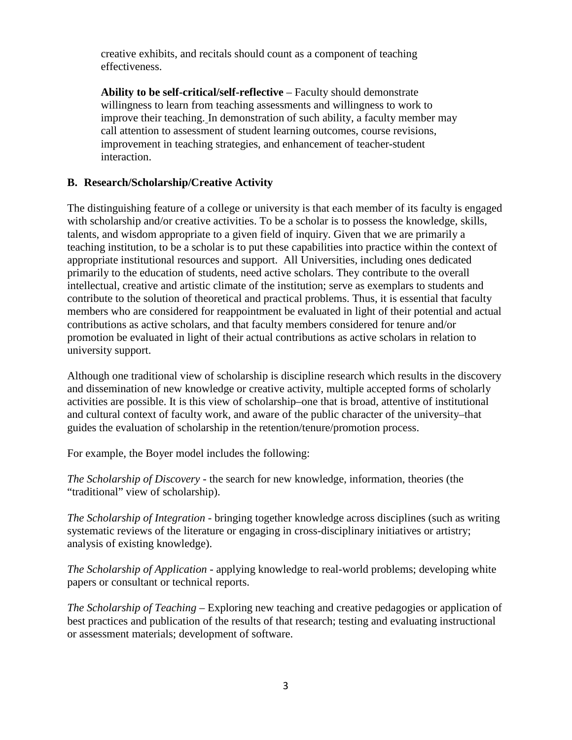creative exhibits, and recitals should count as a component of teaching effectiveness.

**Ability to be self-critical/self-reflective** – Faculty should demonstrate willingness to learn from teaching assessments and willingness to work to improve their teaching. In demonstration of such ability, a faculty member may call attention to assessment of student learning outcomes, course revisions, improvement in teaching strategies, and enhancement of teacher-student interaction.

### **B. Research/Scholarship/Creative Activity**

The distinguishing feature of a college or university is that each member of its faculty is engaged with scholarship and/or creative activities. To be a scholar is to possess the knowledge, skills, talents, and wisdom appropriate to a given field of inquiry. Given that we are primarily a teaching institution, to be a scholar is to put these capabilities into practice within the context of appropriate institutional resources and support. All Universities, including ones dedicated primarily to the education of students, need active scholars. They contribute to the overall intellectual, creative and artistic climate of the institution; serve as exemplars to students and contribute to the solution of theoretical and practical problems. Thus, it is essential that faculty members who are considered for reappointment be evaluated in light of their potential and actual contributions as active scholars, and that faculty members considered for tenure and/or promotion be evaluated in light of their actual contributions as active scholars in relation to university support.

Although one traditional view of scholarship is discipline research which results in the discovery and dissemination of new knowledge or creative activity, multiple accepted forms of scholarly activities are possible. It is this view of scholarship–one that is broad, attentive of institutional and cultural context of faculty work, and aware of the public character of the university–that guides the evaluation of scholarship in the retention/tenure/promotion process.

For example, the Boyer model includes the following:

*The Scholarship of Discovery* - the search for new knowledge, information, theories (the "traditional" view of scholarship).

*The Scholarship of Integration* - bringing together knowledge across disciplines (such as writing systematic reviews of the literature or engaging in cross-disciplinary initiatives or artistry; analysis of existing knowledge).

*The Scholarship of Application* - applying knowledge to real-world problems; developing white papers or consultant or technical reports.

*The Scholarship of Teaching* – Exploring new teaching and creative pedagogies or application of best practices and publication of the results of that research; testing and evaluating instructional or assessment materials; development of software.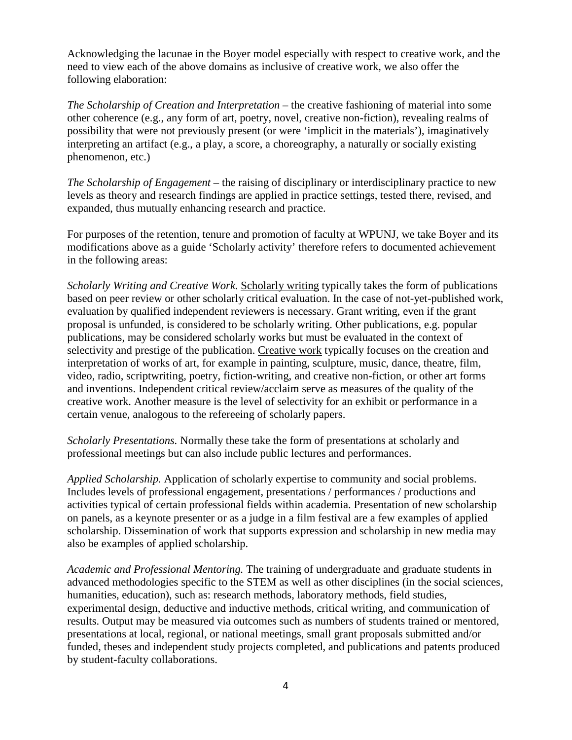Acknowledging the lacunae in the Boyer model especially with respect to creative work, and the need to view each of the above domains as inclusive of creative work, we also offer the following elaboration:

*The Scholarship of Creation and Interpretation* – the creative fashioning of material into some other coherence (e.g., any form of art, poetry, novel, creative non-fiction), revealing realms of possibility that were not previously present (or were 'implicit in the materials'), imaginatively interpreting an artifact (e.g., a play, a score, a choreography, a naturally or socially existing phenomenon, etc.)

*The Scholarship of Engagement* – the raising of disciplinary or interdisciplinary practice to new levels as theory and research findings are applied in practice settings, tested there, revised, and expanded, thus mutually enhancing research and practice.

For purposes of the retention, tenure and promotion of faculty at WPUNJ, we take Boyer and its modifications above as a guide 'Scholarly activity' therefore refers to documented achievement in the following areas:

*Scholarly Writing and Creative Work.* Scholarly writing typically takes the form of publications based on peer review or other scholarly critical evaluation. In the case of not-yet-published work, evaluation by qualified independent reviewers is necessary. Grant writing, even if the grant proposal is unfunded, is considered to be scholarly writing. Other publications, e.g. popular publications, may be considered scholarly works but must be evaluated in the context of selectivity and prestige of the publication. Creative work typically focuses on the creation and interpretation of works of art, for example in painting, sculpture, music, dance, theatre, film, video, radio, scriptwriting, poetry, fiction-writing, and creative non-fiction, or other art forms and inventions. Independent critical review/acclaim serve as measures of the quality of the creative work. Another measure is the level of selectivity for an exhibit or performance in a certain venue, analogous to the refereeing of scholarly papers.

*Scholarly Presentations.* Normally these take the form of presentations at scholarly and professional meetings but can also include public lectures and performances.

*Applied Scholarship.* Application of scholarly expertise to community and social problems. Includes levels of professional engagement, presentations / performances / productions and activities typical of certain professional fields within academia. Presentation of new scholarship on panels, as a keynote presenter or as a judge in a film festival are a few examples of applied scholarship. Dissemination of work that supports expression and scholarship in new media may also be examples of applied scholarship.

*Academic and Professional Mentoring.* The training of undergraduate and graduate students in advanced methodologies specific to the STEM as well as other disciplines (in the social sciences, humanities, education), such as: research methods, laboratory methods, field studies, experimental design, deductive and inductive methods, critical writing, and communication of results. Output may be measured via outcomes such as numbers of students trained or mentored, presentations at local, regional, or national meetings, small grant proposals submitted and/or funded, theses and independent study projects completed, and publications and patents produced by student-faculty collaborations.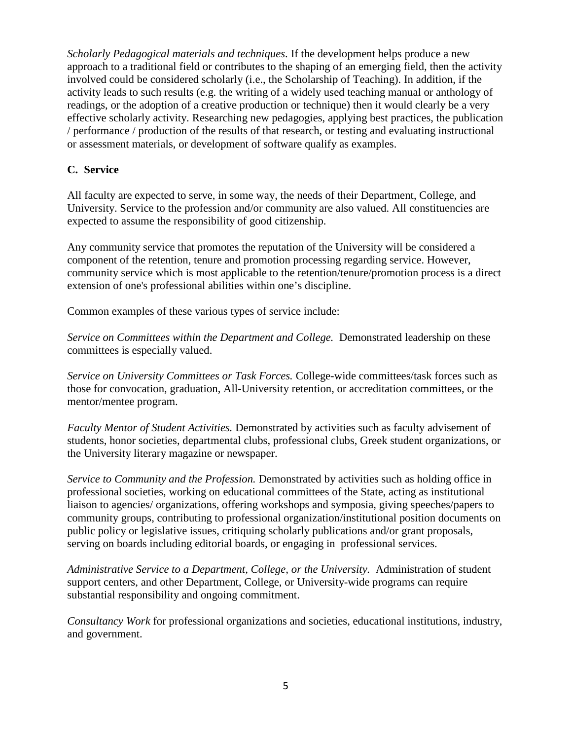*Scholarly Pedagogical materials and techniques*. If the development helps produce a new approach to a traditional field or contributes to the shaping of an emerging field, then the activity involved could be considered scholarly (i.e., the Scholarship of Teaching). In addition, if the activity leads to such results (e.g. the writing of a widely used teaching manual or anthology of readings, or the adoption of a creative production or technique) then it would clearly be a very effective scholarly activity. Researching new pedagogies, applying best practices, the publication / performance / production of the results of that research, or testing and evaluating instructional or assessment materials, or development of software qualify as examples.

## **C. Service**

All faculty are expected to serve, in some way, the needs of their Department, College, and University. Service to the profession and/or community are also valued. All constituencies are expected to assume the responsibility of good citizenship.

Any community service that promotes the reputation of the University will be considered a component of the retention, tenure and promotion processing regarding service. However, community service which is most applicable to the retention/tenure/promotion process is a direct extension of one's professional abilities within one's discipline.

Common examples of these various types of service include:

*Service on Committees within the Department and College.* Demonstrated leadership on these committees is especially valued.

*Service on University Committees or Task Forces.* College-wide committees/task forces such as those for convocation, graduation, All-University retention, or accreditation committees, or the mentor/mentee program.

*Faculty Mentor of Student Activities.* Demonstrated by activities such as faculty advisement of students, honor societies, departmental clubs, professional clubs, Greek student organizations, or the University literary magazine or newspaper.

*Service to Community and the Profession.* Demonstrated by activities such as holding office in professional societies, working on educational committees of the State, acting as institutional liaison to agencies/ organizations, offering workshops and symposia, giving speeches/papers to community groups, contributing to professional organization/institutional position documents on public policy or legislative issues, critiquing scholarly publications and/or grant proposals, serving on boards including editorial boards, or engaging in professional services.

*Administrative Service to a Department, College, or the University.* Administration of student support centers, and other Department, College, or University-wide programs can require substantial responsibility and ongoing commitment.

*Consultancy Work* for professional organizations and societies, educational institutions, industry, and government.